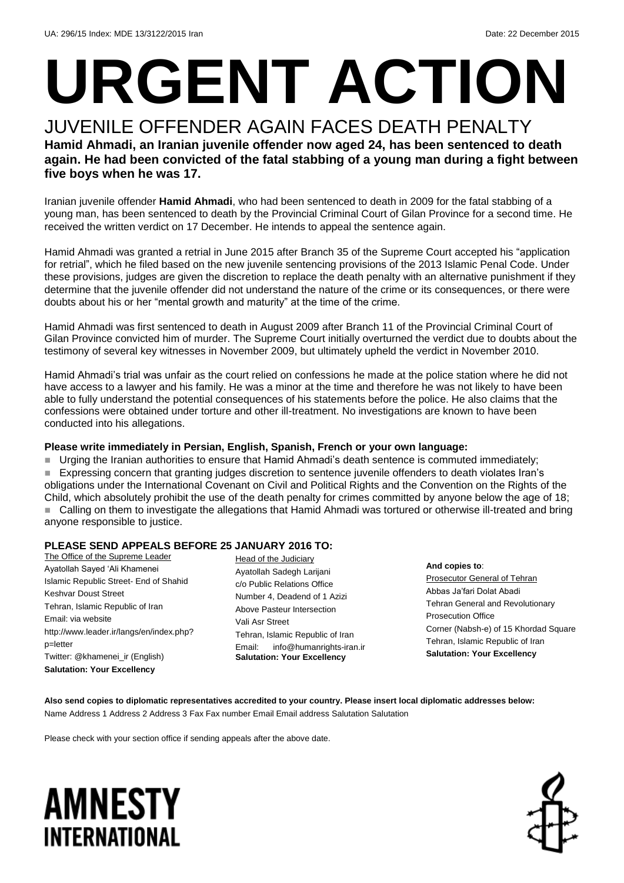# **URGENT ACTION**

JUVENILE OFFENDER AGAIN FACES DEATH PENALTY **Hamid Ahmadi, an Iranian juvenile offender now aged 24, has been sentenced to death again. He had been convicted of the fatal stabbing of a young man during a fight between five boys when he was 17.** 

Iranian juvenile offender **Hamid Ahmadi**, who had been sentenced to death in 2009 for the fatal stabbing of a young man, has been sentenced to death by the Provincial Criminal Court of Gilan Province for a second time. He received the written verdict on 17 December. He intends to appeal the sentence again.

Hamid Ahmadi was granted a retrial in June 2015 after Branch 35 of the Supreme Court accepted his "application for retrial", which he filed based on the new juvenile sentencing provisions of the 2013 Islamic Penal Code. Under these provisions, judges are given the discretion to replace the death penalty with an alternative punishment if they determine that the juvenile offender did not understand the nature of the crime or its consequences, or there were doubts about his or her "mental growth and maturity" at the time of the crime.

Hamid Ahmadi was first sentenced to death in August 2009 after Branch 11 of the Provincial Criminal Court of Gilan Province convicted him of murder. The Supreme Court initially overturned the verdict due to doubts about the testimony of several key witnesses in November 2009, but ultimately upheld the verdict in November 2010.

Hamid Ahmadi's trial was unfair as the court relied on confessions he made at the police station where he did not have access to a lawyer and his family. He was a minor at the time and therefore he was not likely to have been able to fully understand the potential consequences of his statements before the police. He also claims that the confessions were obtained under torture and other ill-treatment. No investigations are known to have been conducted into his allegations.

### **Please write immediately in Persian, English, Spanish, French or your own language:**

Urging the Iranian authorities to ensure that Hamid Ahmadi's death sentence is commuted immediately;

 Expressing concern that granting judges discretion to sentence juvenile offenders to death violates Iran's obligations under the International Covenant on Civil and Political Rights and the Convention on the Rights of the Child, which absolutely prohibit the use of the death penalty for crimes committed by anyone below the age of 18; ■ Calling on them to investigate the allegations that Hamid Ahmadi was tortured or otherwise ill-treated and bring anyone responsible to justice.

#### **PLEASE SEND APPEALS BEFORE 25 JANUARY 2016 TO:**

The Office of the Supreme Leader Ayatollah Sayed 'Ali Khamenei Islamic Republic Street- End of Shahid Keshvar Doust Street Tehran, Islamic Republic of Iran Email: via website http://www.leader.ir/langs/en/index.php? p=letter Twitter: @khamenei\_ir (English) **Salutation: Your Excellency**

Head of the Judiciary Ayatollah Sadegh Larijani c/o Public Relations Office Number 4, Deadend of 1 Azizi Above Pasteur Intersection Vali Asr Street Tehran, Islamic Republic of Iran Email: info@humanrights-iran.ir **Salutation: Your Excellency**

**And copies to**: Prosecutor General of Tehran Abbas Ja'fari Dolat Abadi Tehran General and Revolutionary Prosecution Office Corner (Nabsh-e) of 15 Khordad Square Tehran, Islamic Republic of Iran **Salutation: Your Excellency**

**Also send copies to diplomatic representatives accredited to your country. Please insert local diplomatic addresses below:** Name Address 1 Address 2 Address 3 Fax Fax number Email Email address Salutation Salutation

Please check with your section office if sending appeals after the above date.